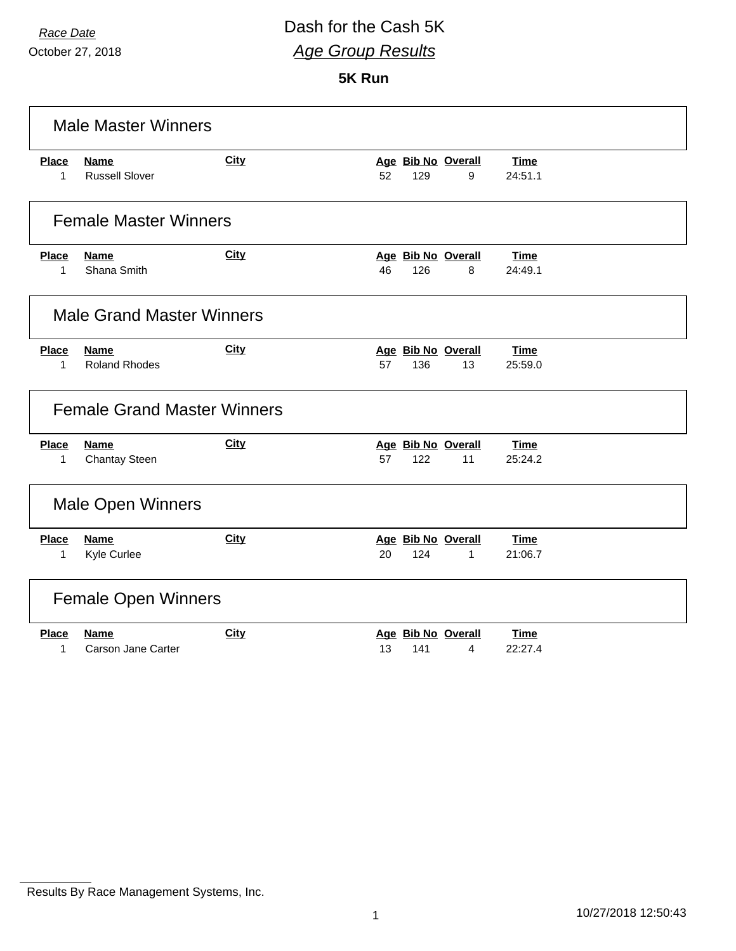October 27, 2018

### *Race Date* Dash for the Cash 5K *Age Group Results*

**5K Run**

|                             | <b>Male Master Winners</b>           |             |                                                 |                        |
|-----------------------------|--------------------------------------|-------------|-------------------------------------------------|------------------------|
| <b>Place</b><br>$\mathbf 1$ | <b>Name</b><br><b>Russell Slover</b> | City        | Age Bib No Overall<br>52<br>129<br>9            | <b>Time</b><br>24:51.1 |
|                             | <b>Female Master Winners</b>         |             |                                                 |                        |
| <b>Place</b><br>1           | <b>Name</b><br>Shana Smith           | City        | Age Bib No Overall<br>46<br>126<br>8            | Time<br>24:49.1        |
|                             | <b>Male Grand Master Winners</b>     |             |                                                 |                        |
| <b>Place</b><br>1           | <b>Name</b><br><b>Roland Rhodes</b>  | City        | Age Bib No Overall<br>57<br>136<br>13           | <b>Time</b><br>25:59.0 |
|                             | <b>Female Grand Master Winners</b>   |             |                                                 |                        |
| <b>Place</b><br>1           | <b>Name</b><br><b>Chantay Steen</b>  | <b>City</b> | Age Bib No Overall<br>122<br>57<br>11           | <b>Time</b><br>25:24.2 |
|                             | Male Open Winners                    |             |                                                 |                        |
| <b>Place</b><br>1           | <b>Name</b><br>Kyle Curlee           | <b>City</b> | Age Bib No Overall<br>124<br>20<br>$\mathbf{1}$ | Time<br>21:06.7        |
|                             | <b>Female Open Winners</b>           |             |                                                 |                        |
| <b>Place</b><br>1           | <b>Name</b><br>Carson Jane Carter    | <b>City</b> | Age Bib No Overall<br>13<br>141<br>4            | <b>Time</b><br>22:27.4 |

Results By Race Management Systems, Inc.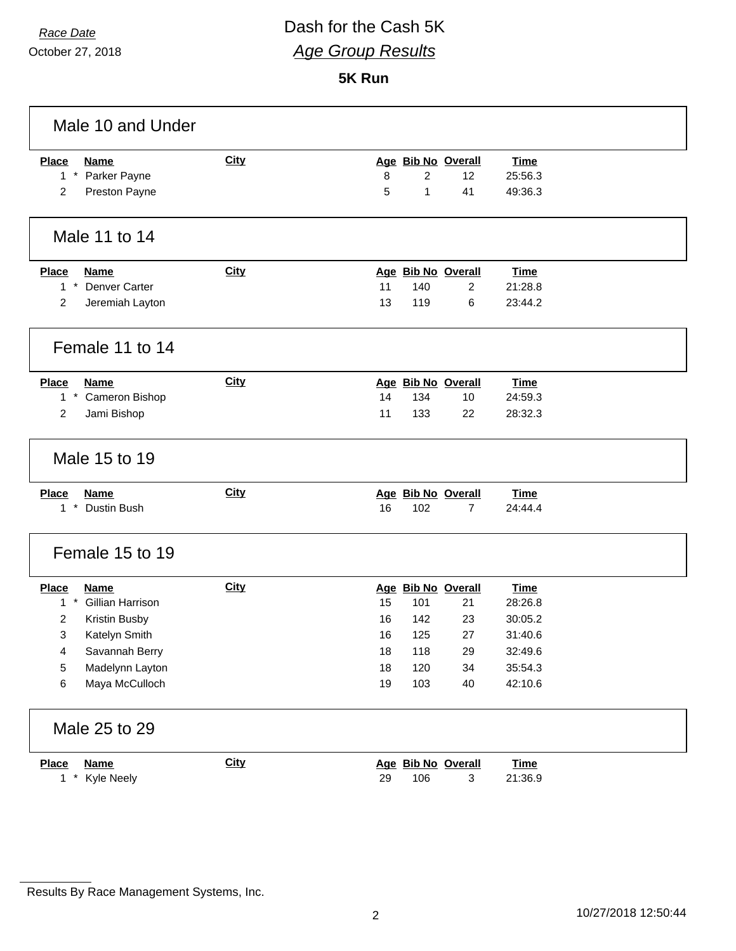#### *Race Date* Dash for the Cash 5K *Age Group Results*

**5K Run**

| Male 10 and Under                           |             |                           |             |
|---------------------------------------------|-------------|---------------------------|-------------|
| <b>Place</b><br><b>Name</b>                 | <b>City</b> | Age Bib No Overall        | <b>Time</b> |
| $1 *$<br>Parker Payne                       |             | 8<br>$\overline{2}$<br>12 | 25:56.3     |
| Preston Payne<br>2                          |             | 5<br>$\mathbf{1}$<br>41   | 49:36.3     |
| Male 11 to 14                               |             |                           |             |
| <b>Place</b><br><b>Name</b>                 | <b>City</b> | Age Bib No Overall        | <b>Time</b> |
| $1*$<br>Denver Carter                       |             | 11<br>140<br>2            | 21:28.8     |
| 2<br>Jeremiah Layton                        |             | 13<br>119<br>6            | 23:44.2     |
| Female 11 to 14                             |             |                           |             |
| <b>Place</b><br><b>Name</b>                 | <b>City</b> | Age Bib No Overall        | <b>Time</b> |
| $1 *$<br>Cameron Bishop                     |             | 14<br>134<br>10           | 24:59.3     |
| $\overline{2}$<br>Jami Bishop               |             | 11<br>133<br>22           | 28:32.3     |
| Male 15 to 19                               |             |                           |             |
| <b>Place</b><br><b>Name</b>                 | City        | Age Bib No Overall        | <b>Time</b> |
| $\pmb{\ast}$<br>Dustin Bush<br>$\mathbf{1}$ |             | 16<br>102<br>7            | 24:44.4     |
| Female 15 to 19                             |             |                           |             |
| <b>Place</b><br><b>Name</b>                 | <b>City</b> | Age Bib No Overall        | <b>Time</b> |
| $1 *$<br>Gillian Harrison                   |             | 15<br>101<br>21           | 28:26.8     |
| 2<br>Kristin Busby                          |             | 16<br>142<br>23           | 30:05.2     |
| 3<br>Katelyn Smith                          |             | 16<br>27<br>125           | 31:40.6     |
| Savannah Berry<br>4                         |             | 18<br>118<br>29           | 32:49.6     |
| Madelynn Layton<br>5                        |             | 18<br>120<br>34           | 35:54.3     |
| Maya McCulloch<br>6                         |             | 103<br>19<br>40           | 42:10.6     |
| Male 25 to 29                               |             |                           |             |
| <b>Place</b><br><b>Name</b>                 | <b>City</b> | Age Bib No Overall        | <b>Time</b> |
| $1 *$<br>Kyle Neely                         |             | 29<br>106<br>3            | 21:36.9     |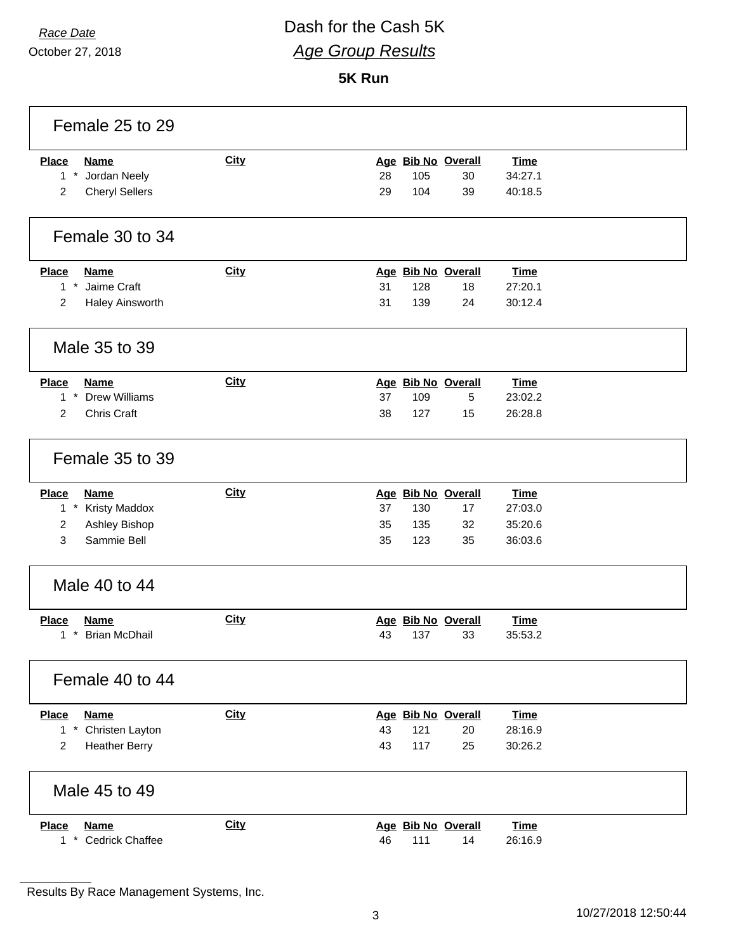# *Race Date* Dash for the Cash 5K *Age Group Results*

#### **5K Run**

| Female 25 to 29                                      |             |                                   |
|------------------------------------------------------|-------------|-----------------------------------|
| <b>Place</b><br><b>Name</b>                          | <b>City</b> | Age Bib No Overall<br><b>Time</b> |
| $1 *$<br>Jordan Neely                                |             | 105<br>28<br>30<br>34:27.1        |
| <b>Cheryl Sellers</b><br>$\overline{2}$              |             | 29<br>40:18.5<br>104<br>39        |
| Female 30 to 34                                      |             |                                   |
| <b>Place</b><br><b>Name</b>                          | City        | Age Bib No Overall<br><b>Time</b> |
| $1 *$<br>Jaime Craft                                 |             | 31<br>128<br>27:20.1<br>18        |
| $\overline{c}$<br>Haley Ainsworth                    |             | 31<br>139<br>24<br>30:12.4        |
| Male 35 to 39                                        |             |                                   |
| <b>Place</b><br><b>Name</b>                          | <b>City</b> | Age Bib No Overall<br><b>Time</b> |
| $\pmb{\star}$<br><b>Drew Williams</b><br>$\mathbf 1$ |             | 37<br>109<br>5<br>23:02.2         |
| $\overline{c}$<br>Chris Craft                        |             | 127<br>38<br>15<br>26:28.8        |
| Female 35 to 39                                      |             |                                   |
| <b>Place</b><br><b>Name</b>                          | <b>City</b> | Age Bib No Overall<br><b>Time</b> |
| $1 *$<br><b>Kristy Maddox</b>                        |             | 37<br>130<br>17<br>27:03.0        |
| Ashley Bishop<br>2                                   |             | 35<br>135<br>32<br>35:20.6        |
| 3<br>Sammie Bell                                     |             | 35<br>123<br>35<br>36:03.6        |
| Male 40 to 44                                        |             |                                   |
| <b>Place</b><br><b>Name</b>                          | <b>City</b> | Age Bib No Overall<br><b>Time</b> |
| <b>Brian McDhail</b><br>$\star$<br>1.                |             | 43<br>137<br>33<br>35:53.2        |
| Female 40 to 44                                      |             |                                   |
| <b>Name</b><br><b>Place</b>                          | <b>City</b> | Age Bib No Overall<br><b>Time</b> |
| $1 *$<br>Christen Layton                             |             | 43<br>121<br>28:16.9<br>20        |
| <b>Heather Berry</b><br>2                            |             | 117<br>43<br>25<br>30:26.2        |
| Male 45 to 49                                        |             |                                   |
| <b>Place</b><br><b>Name</b>                          | <b>City</b> | Age Bib No Overall<br><b>Time</b> |
| 1 * Cedrick Chaffee                                  |             | 46<br>111<br>26:16.9<br>14        |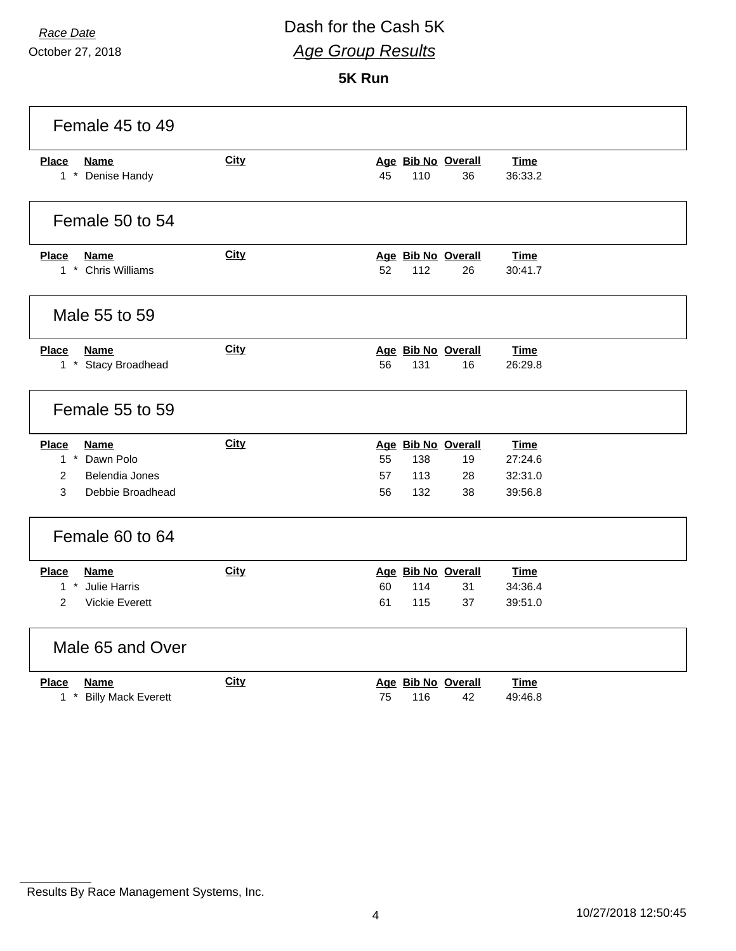#### *Race Date* Dash for the Cash 5K *Age Group Results*

**5K Run**

| Female 45 to 49                                                                                           |             |                                                                                                                             |
|-----------------------------------------------------------------------------------------------------------|-------------|-----------------------------------------------------------------------------------------------------------------------------|
| <b>Place</b><br><b>Name</b><br>1 * Denise Handy                                                           | City        | Age Bib No Overall<br><b>Time</b><br>110<br>36:33.2<br>45<br>36                                                             |
| Female 50 to 54                                                                                           |             |                                                                                                                             |
| <b>Place</b><br><b>Name</b><br>1 * Chris Williams                                                         | <b>City</b> | Age Bib No Overall<br>Time<br>52<br>112<br>30:41.7<br>26                                                                    |
| Male 55 to 59                                                                                             |             |                                                                                                                             |
| <b>Name</b><br><b>Place</b><br>1 * Stacy Broadhead                                                        | <b>City</b> | Age Bib No Overall<br><b>Time</b><br>56<br>131<br>16<br>26:29.8                                                             |
| Female 55 to 59                                                                                           |             |                                                                                                                             |
| <b>Place</b><br><b>Name</b><br>1 * Dawn Polo<br>$\overline{c}$<br>Belendia Jones<br>3<br>Debbie Broadhead | <b>City</b> | Age Bib No Overall<br><b>Time</b><br>55<br>27:24.6<br>138<br>19<br>57<br>113<br>28<br>32:31.0<br>56<br>132<br>38<br>39:56.8 |
| Female 60 to 64                                                                                           |             |                                                                                                                             |
| <b>Place</b><br><b>Name</b><br>1 * Julie Harris<br>$\overline{2}$<br><b>Vickie Everett</b>                | City        | Age Bib No Overall<br><b>Time</b><br>60<br>114<br>31<br>34:36.4<br>61<br>115<br>37<br>39:51.0                               |
| Male 65 and Over                                                                                          |             |                                                                                                                             |
| <b>Place</b><br>Name<br>$1$ $*$<br><b>Billy Mack Everett</b>                                              | <b>City</b> | Age Bib No Overall<br>Time<br>75<br>116<br>42<br>49:46.8                                                                    |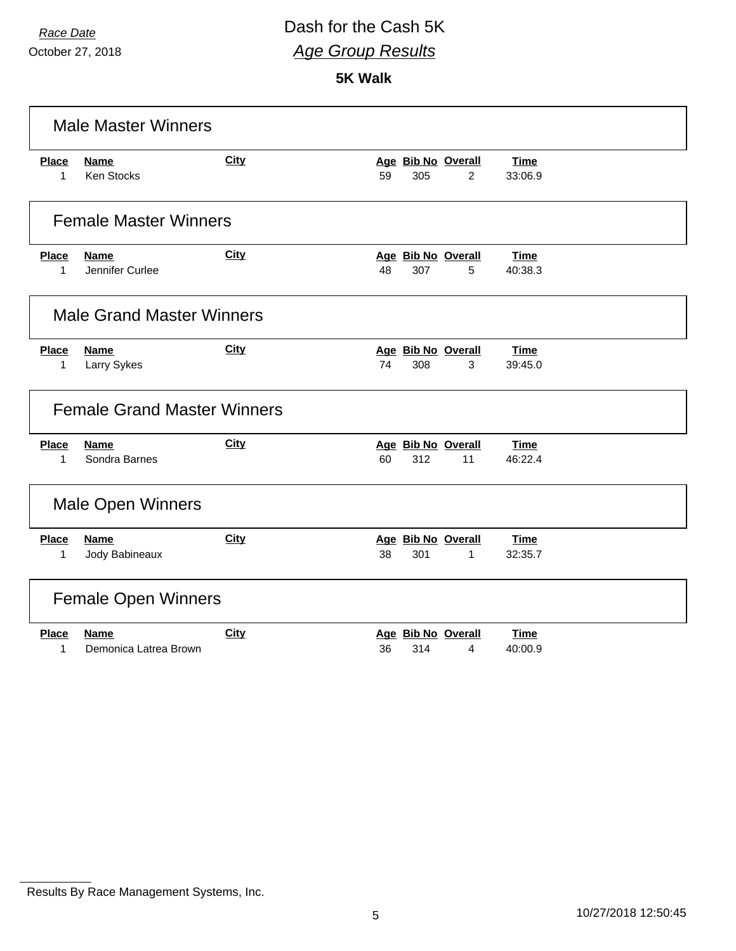October 27, 2018

# *Race Date* Dash for the Cash 5K *Age Group Results*

**5K Walk**

| <b>Male Master Winners</b> |                                    |             |    |     |                    |             |
|----------------------------|------------------------------------|-------------|----|-----|--------------------|-------------|
| <b>Place</b>               | <b>Name</b>                        | <b>City</b> |    |     | Age Bib No Overall | <b>Time</b> |
| 1                          | <b>Ken Stocks</b>                  |             | 59 | 305 | $\overline{2}$     | 33:06.9     |
|                            | <b>Female Master Winners</b>       |             |    |     |                    |             |
| <b>Place</b>               | <b>Name</b>                        | City        |    |     | Age Bib No Overall | <b>Time</b> |
| 1                          | Jennifer Curlee                    |             | 48 | 307 | 5                  | 40:38.3     |
|                            | <b>Male Grand Master Winners</b>   |             |    |     |                    |             |
| <b>Place</b>               | <b>Name</b>                        | <b>City</b> |    |     | Age Bib No Overall | <b>Time</b> |
| 1                          | Larry Sykes                        |             | 74 | 308 | 3                  | 39:45.0     |
|                            | <b>Female Grand Master Winners</b> |             |    |     |                    |             |
| <b>Place</b>               | <b>Name</b>                        | <b>City</b> |    |     | Age Bib No Overall | <b>Time</b> |
| $\mathbf{1}$               | Sondra Barnes                      |             | 60 | 312 | 11                 | 46:22.4     |
|                            | Male Open Winners                  |             |    |     |                    |             |
| <b>Place</b>               | <b>Name</b>                        | City        |    |     | Age Bib No Overall | <b>Time</b> |
| 1                          | Jody Babineaux                     |             | 38 | 301 | $\mathbf{1}$       | 32:35.7     |
|                            | <b>Female Open Winners</b>         |             |    |     |                    |             |
| <b>Place</b>               | <b>Name</b>                        | <b>City</b> |    |     | Age Bib No Overall | Time        |
| 1                          | Demonica Latrea Brown              |             | 36 | 314 | 4                  | 40:00.9     |

Results By Race Management Systems, Inc.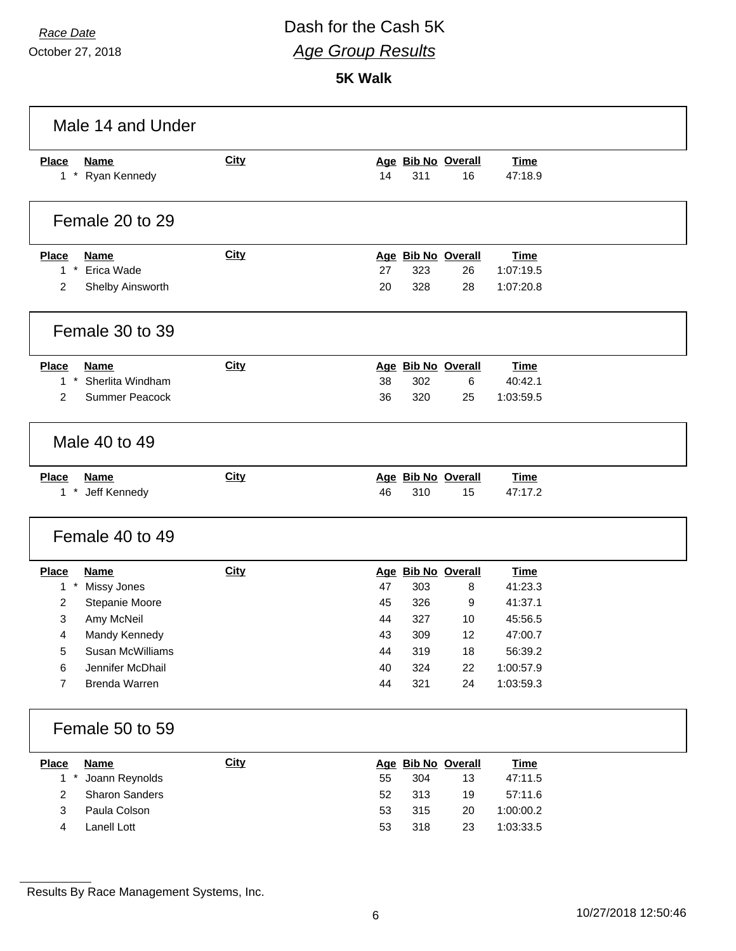# *Race Date* Dash for the Cash 5K *Age Group Results*

**5K Walk**

|                                                     | Male 14 and Under                                                                                                                    |             |                                        |                                               |                                                            |                                                                                              |  |
|-----------------------------------------------------|--------------------------------------------------------------------------------------------------------------------------------------|-------------|----------------------------------------|-----------------------------------------------|------------------------------------------------------------|----------------------------------------------------------------------------------------------|--|
| <b>Place</b>                                        | <b>Name</b><br>1 * Ryan Kennedy                                                                                                      | <b>City</b> | 14                                     | 311                                           | Age Bib No Overall<br>16                                   | <b>Time</b><br>47:18.9                                                                       |  |
|                                                     | Female 20 to 29                                                                                                                      |             |                                        |                                               |                                                            |                                                                                              |  |
| <b>Place</b><br>$1 *$<br>$\overline{c}$             | <b>Name</b><br>Erica Wade<br>Shelby Ainsworth                                                                                        | City        | 27<br>20                               | 323<br>328                                    | Age Bib No Overall<br>26<br>28                             | <b>Time</b><br>1:07:19.5<br>1:07:20.8                                                        |  |
|                                                     | Female 30 to 39                                                                                                                      |             |                                        |                                               |                                                            |                                                                                              |  |
| <b>Place</b><br>$1 *$<br>$\overline{2}$             | <b>Name</b><br>Sherlita Windham<br>Summer Peacock                                                                                    | City        | 38<br>36                               | 302<br>320                                    | Age Bib No Overall<br>6<br>25                              | <b>Time</b><br>40:42.1<br>1:03:59.5                                                          |  |
|                                                     | Male 40 to 49                                                                                                                        |             |                                        |                                               |                                                            |                                                                                              |  |
| <b>Place</b>                                        | <b>Name</b><br>1 * Jeff Kennedy                                                                                                      | <b>City</b> | 46                                     | 310                                           | Age Bib No Overall<br>15                                   | <b>Time</b><br>47:17.2                                                                       |  |
|                                                     | Female 40 to 49                                                                                                                      |             |                                        |                                               |                                                            |                                                                                              |  |
| <b>Place</b><br>$1 *$<br>2<br>3<br>4<br>5<br>6<br>7 | <b>Name</b><br>Missy Jones<br>Stepanie Moore<br>Amy McNeil<br>Mandy Kennedy<br>Susan McWilliams<br>Jennifer McDhail<br>Brenda Warren | <b>City</b> | 47<br>45<br>44<br>43<br>44<br>40<br>44 | 303<br>326<br>327<br>309<br>319<br>324<br>321 | Age Bib No Overall<br>8<br>9<br>10<br>12<br>18<br>22<br>24 | <b>Time</b><br>41:23.3<br>41:37.1<br>45:56.5<br>47:00.7<br>56:39.2<br>1:00:57.9<br>1:03:59.3 |  |
|                                                     | Female 50 to 59                                                                                                                      |             |                                        |                                               |                                                            |                                                                                              |  |
| <b>Place</b><br>$1*$<br>2<br>3<br>4                 | <b>Name</b><br>Joann Reynolds<br><b>Sharon Sanders</b><br>Paula Colson<br>Lanell Lott                                                | <b>City</b> | 55<br>52<br>53<br>53                   | 304<br>313<br>315<br>318                      | Age Bib No Overall<br>13<br>19<br>20<br>23                 | <b>Time</b><br>47:11.5<br>57:11.6<br>1:00:00.2<br>1:03:33.5                                  |  |